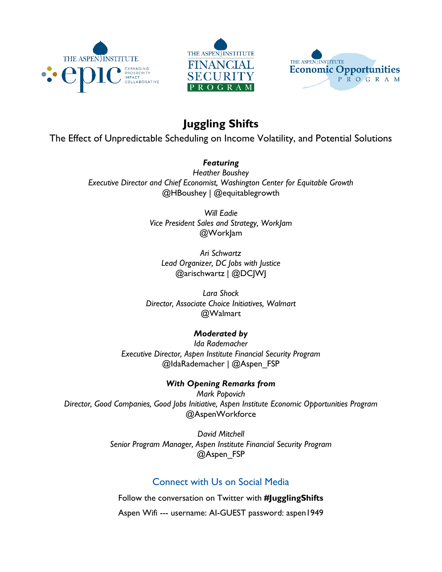





# **Juggling Shifts**

The Effect of Unpredictable Scheduling on Income Volatility, and Potential Solutions

### *Featuring*

*Heather Boushey Executive Director and Chief Economist, Washington Center for Equitable Growth* @HBoushey | @equitablegrowth

> *Will Eadie Vice President Sales and Strategy, WorkJam* @WorkJam

*Ari Schwartz Lead Organizer, DC Jobs with Justice* @arischwartz | @DCJWJ

*Lara Shock Director, Associate Choice Initiatives, Walmart* @Walmart

### *Moderated by*

*Ida Rademacher Executive Director, Aspen Institute Financial Security Program* @IdaRademacher | @Aspen\_FSP

### *With Opening Remarks from*

*Mark Popovich Director, Good Companies, Good Jobs Initiative, Aspen Institute Economic Opportunities Program* @AspenWorkforce

> *David Mitchell Senior Program Manager, Aspen Institute Financial Security Program* @Aspen FSP

## Connect with Us on Social Media

Follow the conversation on Twitter with **#JugglingShifts**

Aspen Wifi --- username: AI-GUEST password: aspen1949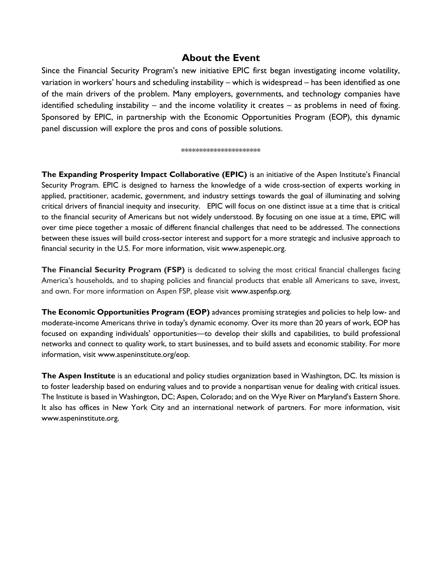### **About the Event**

Since the Financial Security Program's new initiative EPIC first began investigating income volatility, variation in workers' hours and scheduling instability – which is widespread – has been identified as one of the main drivers of the problem. Many employers, governments, and technology companies have identified scheduling instability – and the income volatility it creates – as problems in need of fixing. Sponsored by EPIC, in partnership with the Economic Opportunities Program (EOP), this dynamic panel discussion will explore the pros and cons of possible solutions.

#### \*\*\*\*\*\*\*\*\*\*\*\*\*\*\*\*\*\*\*\*\*\*

**The Expanding Prosperity Impact Collaborative (EPIC)** is an initiative of the Aspen Institute's Financial Security Program. EPIC is designed to harness the knowledge of a wide cross-section of experts working in applied, practitioner, academic, government, and industry settings towards the goal of illuminating and solving critical drivers of financial inequity and insecurity. EPIC will focus on one distinct issue at a time that is critical to the financial security of Americans but not widely understood. By focusing on one issue at a time, EPIC will over time piece together a mosaic of different financial challenges that need to be addressed. The connections between these issues will build cross-sector interest and support for a more strategic and inclusive approach to financial security in the U.S. For more information, visit www.aspenepic.org.

**The Financial Security Program (FSP)** is dedicated to solving the most critical financial challenges facing America's households, and to shaping policies and financial products that enable all Americans to save, invest, and own. For more information on Aspen FSP, please visit www.aspenfsp.org.

**The Economic Opportunities Program (EOP)** advances promising strategies and policies to help low- and moderate-income Americans thrive in today's dynamic economy. Over its more than 20 years of work, EOP has focused on expanding individuals' opportunities—to develop their skills and capabilities, to build professional networks and connect to quality work, to start businesses, and to build assets and economic stability. For more information, visit www.aspeninstitute.org/eop.

**The Aspen Institute** is an educational and policy studies organization based in Washington, DC. Its mission is to foster leadership based on enduring values and to provide a nonpartisan venue for dealing with critical issues. The Institute is based in Washington, DC; Aspen, Colorado; and on the Wye River on Maryland's Eastern Shore. It also has offices in New York City and an international network of partners. For more information, visit www.aspeninstitute.org.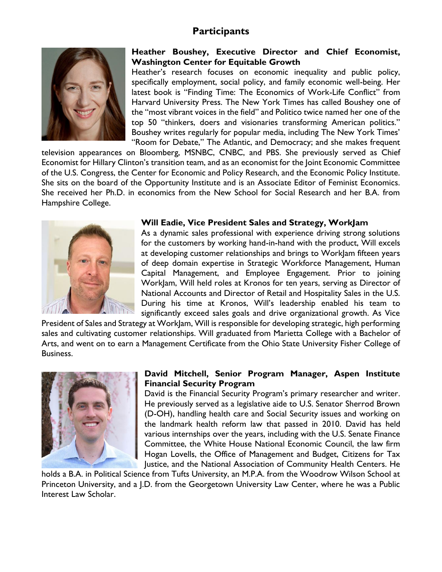### **Participants**



### **Heather Boushey, Executive Director and Chief Economist, Washington Center for Equitable Growth**

Heather's research focuses on economic inequality and public policy, specifically employment, social policy, and family economic well-being. Her latest book is "Finding Time: The Economics of Work-Life Conflict" from Harvard University Press. The New York Times has called Boushey one of the "most vibrant voices in the field" and Politico twice named her one of the top 50 "thinkers, doers and visionaries transforming American politics." Boushey writes regularly for popular media, including The New York Times' "Room for Debate," The Atlantic, and Democracy; and she makes frequent

television appearances on Bloomberg, MSNBC, CNBC, and PBS. She previously served as Chief Economist for Hillary Clinton's transition team, and as an economist for the Joint Economic Committee of the U.S. Congress, the Center for Economic and Policy Research, and the Economic Policy Institute. She sits on the board of the Opportunity Institute and is an Associate Editor of Feminist Economics. She received her Ph.D. in economics from the New School for Social Research and her B.A. from Hampshire College.



### **Will Eadie, Vice President Sales and Strategy, WorkJam**

As a dynamic sales professional with experience driving strong solutions for the customers by working hand-in-hand with the product, Will excels at developing customer relationships and brings to WorkJam fifteen years of deep domain expertise in Strategic Workforce Management, Human Capital Management, and Employee Engagement. Prior to joining WorkJam, Will held roles at Kronos for ten years, serving as Director of National Accounts and Director of Retail and Hospitality Sales in the U.S. During his time at Kronos, Will's leadership enabled his team to significantly exceed sales goals and drive organizational growth. As Vice

President of Sales and Strategy at WorkJam, Will is responsible for developing strategic, high performing sales and cultivating customer relationships. Will graduated from Marietta College with a Bachelor of Arts, and went on to earn a Management Certificate from the Ohio State University Fisher College of Business.



### **David Mitchell, Senior Program Manager, Aspen Institute Financial Security Program**

David is the Financial Security Program's primary researcher and writer. He previously served as a legislative aide to U.S. Senator Sherrod Brown (D-OH), handling health care and Social Security issues and working on the landmark health reform law that passed in 2010. David has held various internships over the years, including with the U.S. Senate Finance Committee, the White House National Economic Council, the law firm Hogan Lovells, the Office of Management and Budget, Citizens for Tax Justice, and the National Association of Community Health Centers. He

holds a B.A. in Political Science from Tufts University, an M.P.A. from the Woodrow Wilson School at Princeton University, and a J.D. from the Georgetown University Law Center, where he was a Public Interest Law Scholar.